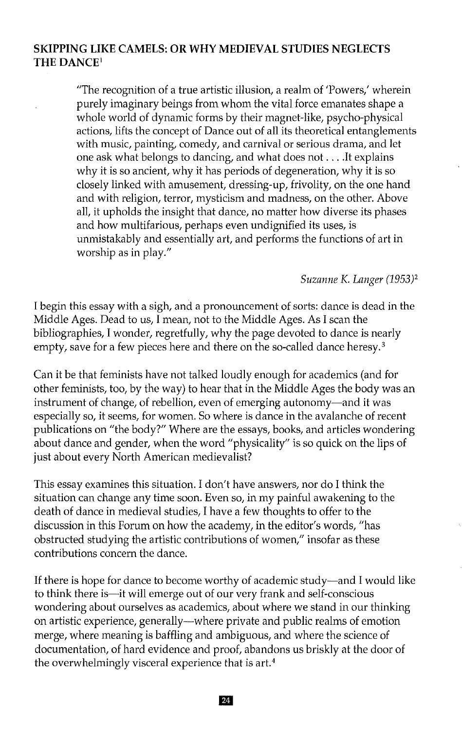## **SKIPPING LIKE CAMELS: OR WHYMEDIEVAL STUDIES NEGLECTS THEDANCE'**

"The recognition of a true artistic illusion, a realm of 'Powers,' wherein purely imaginary beings from whom the vital force emanates shape a whole world of dynamic forms by their magnet-like, psycho-physical actions, lifts the concept of Dance out of all its theoretical entanglements with music, painting, comedy, and carnival or serious drama, and let one ask what belongs to dancing, and what does not ....It explains why it is so ancient, why it has periods of degeneration, why it is so closely linked with amusement, dressing-up, frivolity, on the one hand and with religion, terror, mysticism and madness, on the other. Above all, it upholds the insight that dance, no matter how diverse its phases and how multifarious, perhaps even undignified its uses, is unmistakably and essentially art, and performs the functions of art in worship as in play."

### *Suzanne*K. *Langer (1953)2*

I begin this essay with a sigh, and a pronouncement of sorts: dance is dead in the Middle Ages. Dead to us, I mean, not to the Middle Ages. As I scan the bibliographies, I wonder, regretfully, why the page devoted to dance is nearly empty, save for a few pieces here and there on the so-called dance heresy.<sup>3</sup>

Can it be that feminists have not talked loudly enough for academics (and for other feminists, too, by the way) to hear that in the Middle Ages the body was an instrument of change, of rebellion, even of emerging autonomy-and it was especially so, it seems, for women. So where is dance in the avalanche of recent publications on "the body?" Where are the essays, books, and articles wondering about dance and gender, when the word "physicality" is so quick on the lips of just about every North American medievalist?

This essay examines this situation. I don't have answers, nor do I think the situation can change any time soon. Even so, in my painful awakening to the death of dance in medieval studies, I have a few thoughts to offer to the discussion in this Forum on how the academy, in the editor's words, "has obstructed studying the artistic contributions of women," insofar as these contributions concern the dance.

If there is hope for dance to become worthy of academic study--and I would like to think there is-it will emerge out of our very frank and self-conscious wondering about ourselves as academics, about where we stand in our thinking on artistic experience, generally-where private and public realms of emotion merge, where meaning is baffling and ambiguous, and where the science of documentation, of hard evidence and proof, abandons us briskly at the door of the overwhelmingly visceral experience that is art. <sup>4</sup>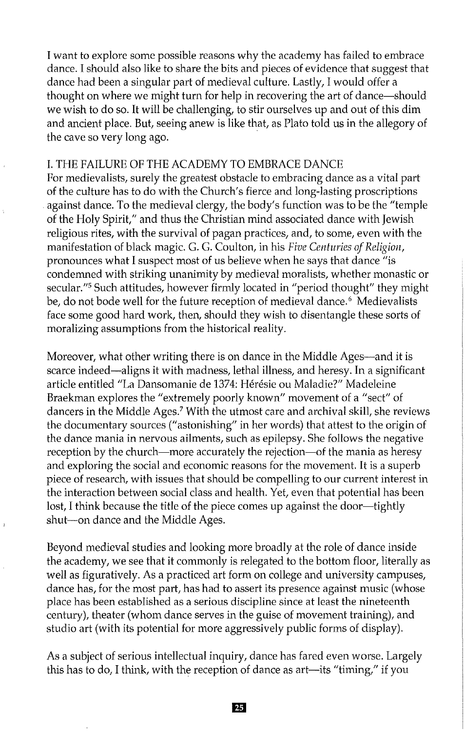I want to explore some possible reasons why the academy has failed to embrace dance. I should also like to share the bits and pieces of evidence that suggest that dance had been a singular part of medieval culture. Lastly, I would offer a thought on where we might turn for help in recovering the art of dance—should we wish to do so. It will be challenging, to stir ourselves up and out of this dim and ancient place. But, seeing anew is like that, as Plato told us in the allegory of the cave so very long ago.

#### 1. THE FAILUREOF THE ACADEMYTO EMBRACE DANCE

For medievalists, surely the greatest obstacle to embracing dance as a vital part of the culture has to do with the Church's fierce and long-lasting proscriptions against dance. To the medieval clergy, the body's function was to be the "temple of the Holy Spirit," and thus the Christian mind associated dance with Jewish religious rites, with the survival of pagan practices, and, to some, even with the manifestation of black magic. G. G. Coulton, in his *Five Centuries of Religion*, pronounces what Isuspect most of us believe when he says that dance "is condemned with striking unanimity by medieval moralists, whether monastic or secular."<sup>5</sup> Such attitudes, however firmly located in "period thought" they might be, do not bode well for the future reception of medieval dance.<sup>6</sup> Medievalists face some good hard work, then, should they wish to disentangle these sorts of moralizing assumptions from the historical reality.

Moreover, what other writing there is on dance in the Middle Ages—and it is scarce indeed—aligns it with madness, lethal illness, and heresy. In a significant article entitled "La Dansomanie de 1374: Heresie ou Maladie?" Madeleine Braekman explores the "extremely poorly known" movement of a "sect" of dancers in the Middle Ages." With the utmost care and archival skill, she reviews the documentary sources ("astonishing" in her words) that attest to the origin of the dance mania in nervous ailments, such as epilepsy. She follows the negative reception by the church—more accurately the rejection—of the mania as heresy and exploring the social and economic reasons for the movement. It is a superb piece of research, with issues that should be compelling to our current interest in the interaction between social class and health. Yet, even that potential has been lost, I think because the title of the piece comes up against the door—tightly shut-on dance and the Middle Ages.

Beyond medieval studies and looking more broadly at the role of dance inside the academy, we see that it commonly is relegated to the bottom floor, literally as well as figuratively. As a practiced art form on college and university campuses, dance has, for the most part, has had to assert its presence against music (whose place has been established as a serious discipline since at least the nineteenth century), theater (whom dance serves in the guise of movement training), and studio art (with its potential for more aggressively public forms of display).

As a subject of serious intellectual inquiry, dance has fared even worse. Largely this has to do, I think, with the reception of dance as  $art$ —its "timing," if you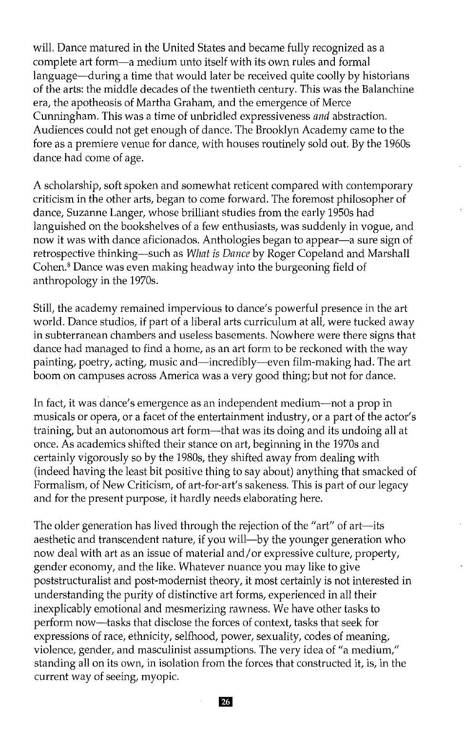will. Dance matured in the United States and became fully recognized as a complete art form-a medium unto itself with its own rules and formal language-during a time that would later be received quite coolly by historians of the arts: the middle decades of the twentieth century. This was the Balanchine era, the apotheosis of Martha Graham, and the emergence of Merce Cunningham. This was a time of unbridled expressiveness *and*abstraction. Audiences could not get enough of dance. The Brooklyn Academy came to the fore as a premiere venue for dance, with houses routinely sold out. By the 1960s dance had come of age.

A scholarship, soft spoken and somewhat reticent compared with contemporary criticism in the other arts, began to come forward. The foremost philosopher of dance, Suzanne Langer, whose brilliant studies from the early 1950s had languished on the bookshelves of a few enthusiasts, was suddenly in vogue, and now it was with dance aficionados. Anthologies began to appear-a sure sign of retrospective thinking—such as *What is Dance* by Roger Copeland and Marshall Cohen." Dance was even making headway into the burgeoning field of anthropology in the 1970s.

Still, the academy remained impervious to dance's powerful presence in the art world. Dance studios, if part of a liberal arts curriculum at all, were tucked away in subterranean chambers and useless basements. Nowhere were there signs that dance had managed to find a home, as an art form to be reckoned with the way painting, poetry, acting, music and—incredibly—even film-making had. The art boom on campuses across America was a very good thing; but not for dance.

**In** fact, it was dance's emergence as an independent medium-not a prop in musicals or opera, or a facet of the entertainment industry, or a part of the actor's training, but an autonomous art form-that was its doing and its undoing all at once. As academics shifted their stance on art, beginning in the 1970s and certainly vigorously so by the 1980s, they shifted away from dealing with (indeed having the least bit positive thing to say about) anything that smacked of Formalism, of New Criticism, of art-for-art's sakeness. This is part of our legacy and for the present purpose, it hardly needs elaborating here.

The older generation has lived through the rejection of the "art" of art-its aesthetic and transcendent nature, if you will—by the younger generation who now deal with art as an issue of material and/or expressive culture, property, gender economy, and the like. Whatever nuance you may like to give poststructuralist and post-modernist theory, it most certainly is not interested in understanding the purity of distinctive art forms, experienced in all their inexplicably emotional and mesmerizing rawness. We have other tasks to perform now-tasks that disclose the forces of context, tasks that seek for expressions of race, ethnicity, selfhood, power, sexuality, codes of meaning, violence, gender, and masculinist assumptions. The very idea of "a medium," standing all on its own, in isolation from the forces that constructed it, is, in the current way of seeing, myopic.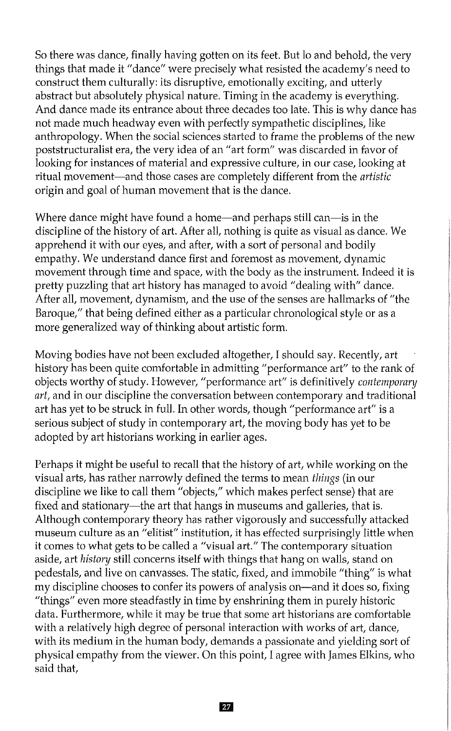So there was dance, finally having gotten on its feet. But 10 and behold, the very things that made it "dance" were precisely what resisted the academy's need to construct them culturally: its disruptive, emotionally exciting, and utterly abstract but absolutely physical nature. Timing in the academy is everything. And dance made its entrance about three decades too late. This is why dance has not made much headway even with perfectly sympathetic disciplines, like anthropology. When the social sciences started to frame the problems of the new poststructuralist era, the very idea of an "art form" was discarded in favor of looking for instances of material and expressive culture, in our case, looking at ritual movement-and those cases are completely different from the *artistic* origin and goal of human movement that is the dance.

Where dance might have found a home—and perhaps still can—is in the discipline of the history of art. After all, nothing is quite as visual as dance. We apprehend it with our eyes, and after, with a sort of personal and bodily empathy. We understand dance first and foremost as movement, dynamic movement through time and space, with the body as the instrument. Indeed it is pretty puzzling that art history has managed to avoid "dealing with" dance. After all, movement, dynamism, and the use of the senses are hallmarks of "the Baroque," that being defined either as a particular chronological style or as a more generalized way of thinking about artistic form.

Moving bodies have not been excluded altogether, I should say. Recently, art history has been quite comfortable in admitting "performance art" to the rank of objects worthy of study. However, "performance art" is definitively *contemporary art,* and in our discipline the conversation between contemporary and traditional art has yet to be struck in full. In other words, though "performance art" is a serious subject of study in contemporary art, the moving body has yet to be adopted by art historians working in earlier ages.

Perhaps it might be useful to recall that the history of art, while working on the visual arts, has rather narrowly defined the terms to mean *things* (in our discipline we like to call them "objects," which makes perfect sense) that are fixed and stationary—the art that hangs in museums and galleries, that is. Although contemporary theory has rather vigorously and successfully attacked museum culture as an "elitist" institution, it has effected surprisingly little when it comes to what gets to be called a "visual art." The contemporary situation aside, art *history* still concerns itself with things that hang on walls, stand on pedestals, and live on canvasses. The static, fixed, and immobile "thing" is what my discipline chooses to confer its powers of analysis on-and it does so, fixing "things" even more steadfastly in time by enshrining them in purely historic data. Furthermore, while it may be true that some art historians are comfortable with a relatively high degree of personal interaction with works of art, dance, with its medium in the human body, demands a passionate and yielding sort of physical empathy from the viewer. On this point, I agree with James Elkins, who said that,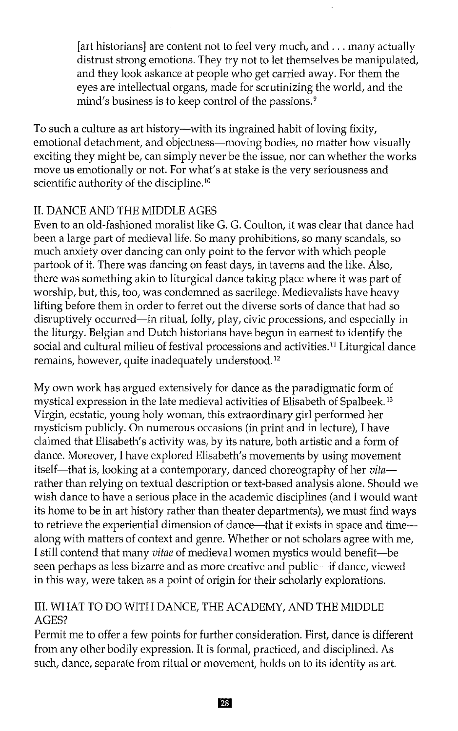[art historians] are content not to feel very much, and . . . many actually distrust strong emotions. They try not to let themselves be manipulated, and they look askance at people who get carried away. For them the eyes are intellectual organs, made for scrutinizing the world, and the mind's business is to keep control of the passions.<sup>9</sup>

To such a culture as art history—with its ingrained habit of loving fixity, emotional detachment, and objectness-moving bodies, no matter how visually exciting they might be, can simply never be the issue, nor can whether the works move us emotionally or not. For what's at stake is the very seriousness and scientific authority of the discipline.<sup>10</sup>

# **II.** DANCE AND THE MIDDLE AGES

Even to an old-fashioned moralist like G. G. Coulton, it was clear that dance had been a large part of medieval life. So many prohibitions, so many scandals, so much anxiety over dancing can only point to the fervor with which people partook of it. There was dancing on feast days, in taverns and the like. Also, there was something akin to liturgical dance taking place where it was part of worship, but, this, too, was condemned as sacrilege. Medievalists have heavy lifting before them in order to ferret out the diverse sorts of dance that had so disruptively occurred—in ritual, folly, play, civic processions, and especially in the liturgy. Belgian and Dutch historians have begun in earnest to identify the social and cultural milieu of festival processions and activities.<sup>11</sup> Liturgical dance remains, however, quite inadequately understood.<sup>12</sup>

My own work has argued extensively for dance as the paradigmatic form of mystical expression in the late medieval activities of Elisabeth of Spalbeek. <sup>13</sup> Virgin, ecstatic, young holy woman, this extraordinary girl performed her mysticism publicly. On numerous occasions (in print and in lecture), I have claimed that Elisabeth's activity was, by its nature, both artistic and a form of dance. Moreover, I have explored Elisabeth's movements by using movement itself—that is, looking at a contemporary, danced choreography of her *vita* rather than relying on textual description or text-based analysis alone. Should we wish dance to have a serious place in the academic disciplines (and I would want its home to be in art history rather than theater departments), we must find ways to retrieve the experiential dimension of dance—that it exists in space and time along with matters of context and genre. Whether or not scholars agree with me, I still contend that many *vitae*of medieval women mystics would benefit-be seen perhaps as less bizarre and as more creative and public-if dance, viewed in this way, were taken as a point of origin for their scholarly explorations.

## III. WHAT TO DO WITH DANCE, THE ACADEMY, AND THE MIDDLE AGES?

Permit me to offer a few points for further consideration. First, dance is different from any other bodily expression. It is formal, practiced, and disciplined. As such, dance, separate from ritual or movement, holds on to its identity as art.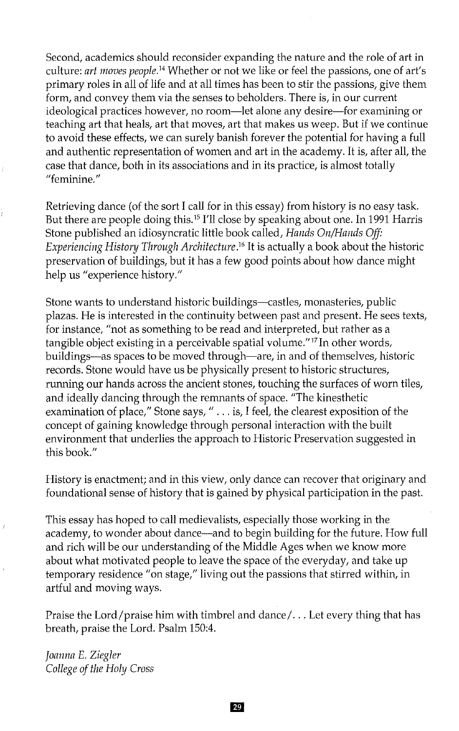Second, academics should reconsider expanding the nature and the role of art in culture: *art moves people*.<sup>14</sup> Whether or not we like or feel the passions, one of art's primary roles in all of life and at all times has been to stir the passions, give them form, and convey them via the senses to beholders. There is, in our current ideological practices however, no room—let alone any desire—for examining or teaching art that heals, art that moves, art that makes us weep. But if we continue to avoid these effects, we can surely banish forever the potential for having a full and authentic representation of women and art in the academy. It is, after all, the case that dance, both in its associations and in its practice, is almost totally "feminine."

Retrieving dance (of the sort I call for in this essay) from history is no easy task. But there are people doing this.<sup>15</sup> I'll close by speaking about one. In 1991 Harris Stone published an idiosyncratic little book called, *Hands On/Hands Off: Experiencing History Through Architecture*.16 It is actually a book about the historic preservation of buildings, but it has a few good points about how dance might help us "experience history."

Stone wants to understand historic buildings-castles, monasteries, public plazas. He is interested in the continuity between past and present. He sees texts, for instance, "not as something to be read and interpreted, but rather as a tangible object existing in a perceivable spatial volume."<sup>17</sup> In other words, buildings—as spaces to be moved through—are, in and of themselves, historic records. Stone would have us be physically present to historic structures, running our hands across the ancient stones, touching the surfaces of worn tiles, and ideally dancing through the remnants of space. "The kinesthetic examination of place," Stone says, " ... is, I feel, the clearest exposition of the concept of gaining knowledge through personal interaction with the built environment that underlies the approach to Historic Preservation suggested in this book."

History is enactment; and in this view, only dance can recover that originary and foundational sense of history that is gained by physical participation in the past.

This essay has hoped to call medievalists, especially those working in the academy, to wonder about dance—and to begin building for the future. How full and rich will be our understanding of the Middle Ages when we know more about what motivated people to leave the space of the everyday, and take up temporary residence "on stage," living out the passions that stirred within, in artful and moving ways.

Praise the Lord/praise him with timbrel and dance/... Let every thing that has breath, praise the Lord. Psalm 150:4.

*Joanna* E.*Ziegler College ofthe Holy Cross*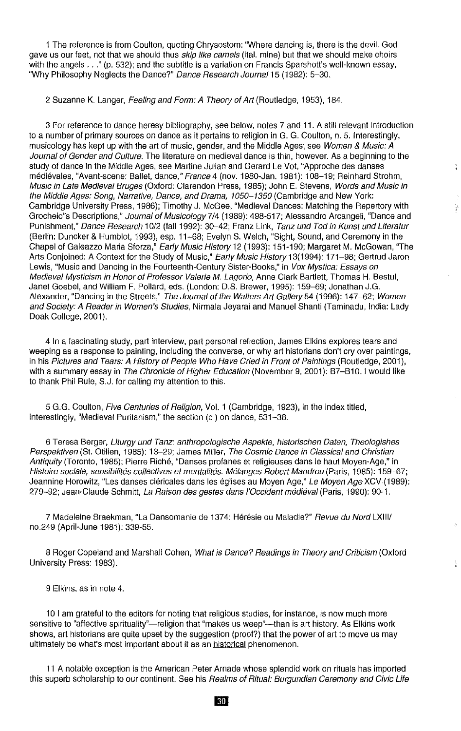1 The reference is from Coulton, quoting Chrysostom: "Where dancing is, there is the deviL God gave us our feet, not that we should thus *skip like camels* (ital, mine) but that we should make choirs with the angels ..." (p. 532); and the subtitle is a variation on Francis Sparshott's well-known essay, "Why Philosophy Neglects the Dance?" Dance Research Journal 15 (1982): 5-30.

2 Suzanne K. Langer, Feeling and Form: A Theory of Art (Routledge, 1953), 184.

3 For reference to dance heresy bibliography, see below, notes 7 and 11. A still relevant introduction to a number of primary sources on dance as it pertains to religion in G. G. Coulton, n. 5. Interestingly, musicology has kept up with the art of music, gender, and the Middle Ages; see Women & Music: A Journal of Gender and Culture. The literature on medieval dance is thin, however. As a beginning to the study of dance in the Middle Ages, see Martine Juiian and Gerard Le Vat, "Approche des danses médiévales, "Avant-scene: Ballet, dance," France 4 (nov. 1980-Jan. 1981): 108-19; Reinhard Strohm, Music in Late Medieval Bruges (Oxford: Clarendon Press, 1985); John E. Stevens, Words and Music in the Middle Ages: Song, Narrative, Dance, and Drama, 1050-1350 (Cambridge and New York: Cambridge University Press, 1986); Timothy J. McGee, "Medieval Dances: Matching the Repertory with Grocheio"s Descriptions," Journal of Musicology 7/4 (1989): 498-517; Alessandro Arcangeli, "Dance and Punishment," Dance Research 10/2 (fall 1992): 30-42; Franz Link, Tanz und Tod in Kunst und Literatur (Berlin: Duncker & Humblot, 1993), esp. 11-68; Evelyn S. Welch, "Sight, Sound, and Ceremony in the Chapel of Galeazzo Maria Sforza," Early Music History 12 (1993): 151-190; Margaret M. McGowan, "The Arts Conjoined: A Context for the Study of Music," Early Music History 13(1994): 171-98; Gertrud Jaron Lewis, "Music and Dancing in the Fourteenth-Century Sister-Books," in Vox Mystica: Essays on Medieval Mysticism in Honor of Professor Valerie *M.* Lagorio, Anne Clark Bartlett, Thomas H. Bestul, Janet Goebel, and William F. Pollard, eds. (London: D.S. Brewer, 1995): 159-69; Jonathan J.G. Alexander, "Dancing in the Streets," The Journal of the Walters Art Gallery 54 (1996): 147-62; Women and Society: A Reader in Women's Studies, Nirmala Jeyarai and Manuel Shanti (Taminadu, India: Lady Doak College, 2001).

ţ

4 In a fascinating study, part interview, part personal reflection, James Elkins explores tears and weeping as a response to painting, including the converse, or why art historians don't cry over paintings, in his Pictures and Tears: A History of People Who Have Cried in Front of Paintings (Routledge, 2001), with a summary essay in The Chronicle of Higher Education (November 9, 2001): B7-B10. I would like to thank Phil RUle, S.J. for calling my attention to this.

5 G.G. COUlton, Five Centuries of Religion, VoL 1 (Cambridge, 1923), in the index titled, interestingly, "Medieval Puritanism," the section (c) on dance, 531-38.

6 Teresa Berger, Liturgy und Tanz: anthropologische Aspekte, historischen Daten, Theologishes Perspektiven (St. Olilien, 1985): 13-29; James Miller, The Cosmic Dance in Classical and Christian Antiquity (Toronto, 1985); Pierre Riche, "Danses profanes et religieuses dans ie haut Moyen-Age," in Histoire sociale, sensibilités collectives et mentalités. Mélanges Robert Mandrou (Paris, 1985): 159-67; Jeannine Horowitz, "Les danses cléricales dans les églises au Moyen Age," Le Moyen Age XCV (1989): 279-92; Jean-Claude Schmitt, La Raison des gestes dans l'Occident médiéval (Paris, 1990): 90-1.

7 Madeleine Braekman, "La Dansomanie de 1374: Hérésie ou Maladie?" Revue du Nord LXIII/ nO.249 (April-June 1981): 339-55.

8 Roger Copeland and Marshall Cohen, What is Dance? Readings in Theory and Criticism (Oxford University Press: 1983).

9 Elkins, as in note 4.

10 I am grateful to the editors for noting that religious studies, for Instance, Is now much more sensitive to "affective spirituality"-religion that "makes us weep"---than is art history. As Elkins work shows, art historians are quite upset by the suggestion (proof?) that the power of art to move us may ultimately be what's most Important about it as an historical phenomenon.

11 A notable exception is the American Peter Arnade whose splendid work on rituals has imported this superb scholarship to our continent. See his Realms of Ritual: Burgundian Ceremony and Civic Life

**30**